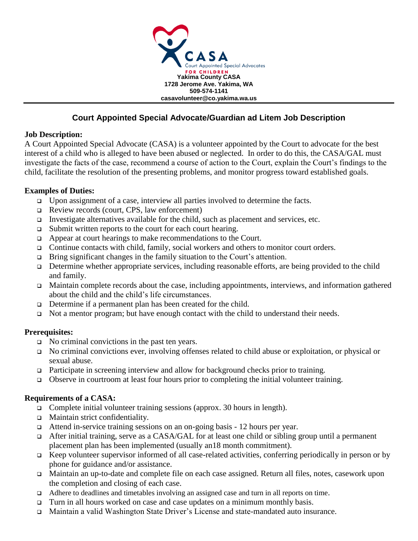

## **Court Appointed Special Advocate/Guardian ad Litem Job Description**

### **Job Description:**

A Court Appointed Special Advocate (CASA) is a volunteer appointed by the Court to advocate for the best interest of a child who is alleged to have been abused or neglected. In order to do this, the CASA/GAL must investigate the facts of the case, recommend a course of action to the Court, explain the Court's findings to the child, facilitate the resolution of the presenting problems, and monitor progress toward established goals.

## **Examples of Duties:**

- ❑ Upon assignment of a case, interview all parties involved to determine the facts.
- ❑ Review records (court, CPS, law enforcement)
- ❑ Investigate alternatives available for the child, such as placement and services, etc.
- ❑ Submit written reports to the court for each court hearing.
- ❑ Appear at court hearings to make recommendations to the Court.
- ❑ Continue contacts with child, family, social workers and others to monitor court orders.
- ❑ Bring significant changes in the family situation to the Court's attention.
- ❑ Determine whether appropriate services, including reasonable efforts, are being provided to the child and family.
- ❑ Maintain complete records about the case, including appointments, interviews, and information gathered about the child and the child's life circumstances.
- ❑ Determine if a permanent plan has been created for the child.
- ❑ Not a mentor program; but have enough contact with the child to understand their needs.

## **Prerequisites:**

- ❑ No criminal convictions in the past ten years.
- ❑ No criminal convictions ever, involving offenses related to child abuse or exploitation, or physical or sexual abuse.
- ❑ Participate in screening interview and allow for background checks prior to training.
- ❑ Observe in courtroom at least four hours prior to completing the initial volunteer training.

## **Requirements of a CASA:**

- ❑ Complete initial volunteer training sessions (approx. 30 hours in length).
- ❑ Maintain strict confidentiality.
- ❑ Attend in-service training sessions on an on-going basis 12 hours per year.
- ❑ After initial training, serve as a CASA/GAL for at least one child or sibling group until a permanent placement plan has been implemented (usually an18 month commitment).
- ❑ Keep volunteer supervisor informed of all case-related activities, conferring periodically in person or by phone for guidance and/or assistance.
- ❑ Maintain an up-to-date and complete file on each case assigned. Return all files, notes, casework upon the completion and closing of each case.
- ❑ Adhere to deadlines and timetables involving an assigned case and turn in all reports on time.
- ❑ Turn in all hours worked on case and case updates on a minimum monthly basis.
- ❑ Maintain a valid Washington State Driver's License and state-mandated auto insurance.